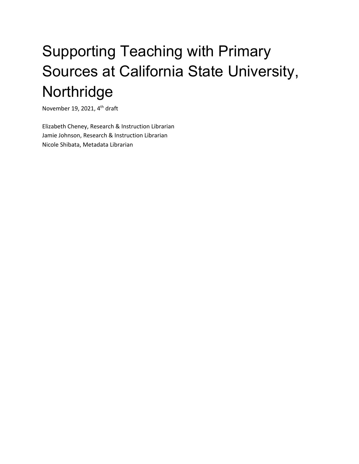# Supporting Teaching with Primary Sources at California State University, Northridge

November 19, 2021, 4<sup>th</sup> draft

Elizabeth Cheney, Research & Instruction Librarian Jamie Johnson, Research & Instruction Librarian Nicole Shibata, Metadata Librarian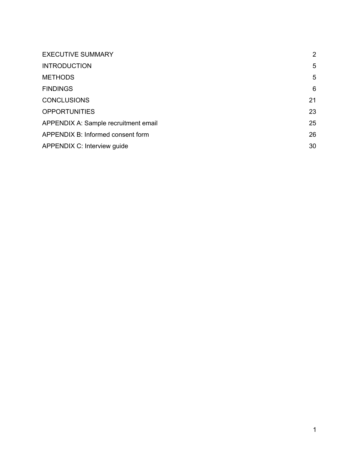| <b>EXECUTIVE SUMMARY</b>             | 2  |
|--------------------------------------|----|
| <b>INTRODUCTION</b>                  | 5  |
| <b>METHODS</b>                       | 5  |
| <b>FINDINGS</b>                      | 6  |
| <b>CONCLUSIONS</b>                   | 21 |
| <b>OPPORTUNITIES</b>                 | 23 |
| APPENDIX A: Sample recruitment email | 25 |
| APPENDIX B: Informed consent form    | 26 |
| APPENDIX C: Interview guide          | 30 |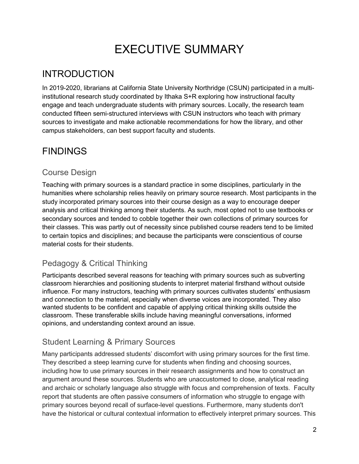# EXECUTIVE SUMMARY

## INTRODUCTION

In 2019-2020, librarians at California State University Northridge (CSUN) participated in a multiinstitutional research study coordinated by Ithaka S+R exploring how instructional faculty engage and teach undergraduate students with primary sources. Locally, the research team conducted fifteen semi-structured interviews with CSUN instructors who teach with primary sources to investigate and make actionable recommendations for how the library, and other campus stakeholders, can best support faculty and students.

## **FINDINGS**

## Course Design

Teaching with primary sources is a standard practice in some disciplines, particularly in the humanities where scholarship relies heavily on primary source research. Most participants in the study incorporated primary sources into their course design as a way to encourage deeper analysis and critical thinking among their students. As such, most opted not to use textbooks or secondary sources and tended to cobble together their own collections of primary sources for their classes. This was partly out of necessity since published course readers tend to be limited to certain topics and disciplines; and because the participants were conscientious of course material costs for their students.

## Pedagogy & Critical Thinking

Participants described several reasons for teaching with primary sources such as subverting classroom hierarchies and positioning students to interpret material firsthand without outside influence. For many instructors, teaching with primary sources cultivates students' enthusiasm and connection to the material, especially when diverse voices are incorporated. They also wanted students to be confident and capable of applying critical thinking skills outside the classroom. These transferable skills include having meaningful conversations, informed opinions, and understanding context around an issue.

## Student Learning & Primary Sources

Many participants addressed students' discomfort with using primary sources for the first time. They described a steep learning curve for students when finding and choosing sources, including how to use primary sources in their research assignments and how to construct an argument around these sources. Students who are unaccustomed to close, analytical reading and archaic or scholarly language also struggle with focus and comprehension of texts. Faculty report that students are often passive consumers of information who struggle to engage with primary sources beyond recall of surface-level questions. Furthermore, many students don't have the historical or cultural contextual information to effectively interpret primary sources. This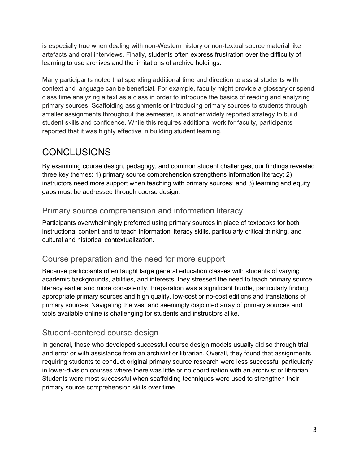is especially true when dealing with non-Western history or non-textual source material like artefacts and oral interviews. Finally, students often express frustration over the difficulty of learning to use archives and the limitations of archive holdings.

Many participants noted that spending additional time and direction to assist students with context and language can be beneficial. For example, faculty might provide a glossary or spend class time analyzing a text as a class in order to introduce the basics of reading and analyzing primary sources. Scaffolding assignments or introducing primary sources to students through smaller assignments throughout the semester, is another widely reported strategy to build student skills and confidence. While this requires additional work for faculty, participants reported that it was highly effective in building student learning.

## **CONCLUSIONS**

By examining course design, pedagogy, and common student challenges, our findings revealed three key themes: 1) primary source comprehension strengthens information literacy; 2) instructors need more support when teaching with primary sources; and 3) learning and equity gaps must be addressed through course design.

## Primary source comprehension and information literacy

Participants overwhelmingly preferred using primary sources in place of textbooks for both instructional content and to teach information literacy skills, particularly critical thinking, and cultural and historical contextualization.

## Course preparation and the need for more support

Because participants often taught large general education classes with students of varying academic backgrounds, abilities, and interests, they stressed the need to teach primary source literacy earlier and more consistently. Preparation was a significant hurdle, particularly finding appropriate primary sources and high quality, low-cost or no-cost editions and translations of primary sources. Navigating the vast and seemingly disjointed array of primary sources and tools available online is challenging for students and instructors alike.

## Student-centered course design

In general, those who developed successful course design models usually did so through trial and error or with assistance from an archivist or librarian. Overall, they found that assignments requiring students to conduct original primary source research were less successful particularly in lower-division courses where there was little or no coordination with an archivist or librarian. Students were most successful when scaffolding techniques were used to strengthen their primary source comprehension skills over time.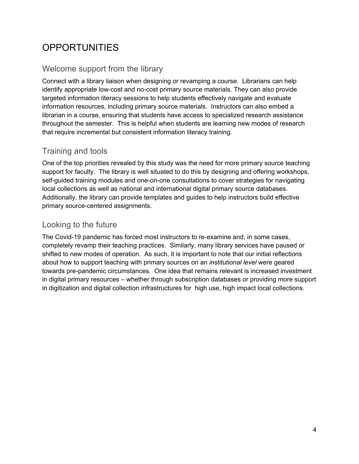## **OPPORTUNITIES**

## Welcome support from the library

Connect with a library liaison when designing or revamping a course. Librarians can help identify appropriate low-cost and no-cost primary source materials. They can also provide targeted information literacy sessions to help students effectively navigate and evaluate information resources, including primary source materials. Instructors can also embed a librarian in a course, ensuring that students have access to specialized research assistance throughout the semester. This is helpful when students are learning new modes of research that require incremental but consistent information literacy training.

## Training and tools

One of the top priorities revealed by this study was the need for more primary source teaching support for faculty. The library is well situated to do this by designing and offering workshops, self-guided training modules and one-on-one consultations to cover strategies for navigating local collections as well as national and international digital primary source databases. Additionally, the library can provide templates and guides to help instructors build effective primary source-centered assignments.

## Looking to the future

The Covid-19 pandemic has forced most instructors to re-examine and, in some cases, completely revamp their teaching practices. Similarly, many library services have paused or shifted to new modes of operation. As such, it is important to note that our initial reflections about how to support teaching with primary sources on an *institutional level* were geared towards pre-pandemic circumstances. One idea that remains relevant is increased investment in digital primary resources – whether through subscription databases or providing more support in digitization and digital collection infrastructures for high use, high impact local collections.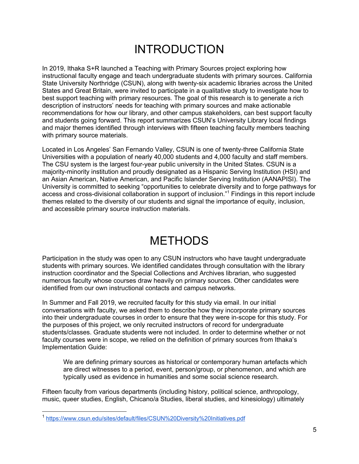# INTRODUCTION

In 2019, Ithaka S+R launched a Teaching with Primary Sources project exploring how instructional faculty engage and teach undergraduate students with primary sources. California State University Northridge (CSUN), along with twenty-six academic libraries across the United States and Great Britain, were invited to participate in a qualitative study to investigate how to best support teaching with primary resources. The goal of this research is to generate a rich description of instructors' needs for teaching with primary sources and make actionable recommendations for how our library, and other campus stakeholders, can best support faculty and students going forward. This report summarizes CSUN's University Library local findings and major themes identified through interviews with fifteen teaching faculty members teaching with primary source materials.

Located in Los Angeles' San Fernando Valley, CSUN is one of twenty-three California State Universities with a population of nearly 40,000 students and 4,000 faculty and staff members. The CSU system is the largest four-year public university in the United States. CSUN is a majority-minority institution and proudly designated as a Hispanic Serving Institution (HSI) and an Asian American, Native American, and Pacific Islander Serving Institution (AANAPISI). The University is committed to seeking "opportunities to celebrate diversity and to forge pathways for access and cross-divisional collaboration in support of inclusion."<sup>1</sup> Findings in this report include themes related to the diversity of our students and signal the importance of equity, inclusion, and accessible primary source instruction materials.

# **METHODS**

Participation in the study was open to any CSUN instructors who have taught undergraduate students with primary sources. We identified candidates through consultation with the library instruction coordinator and the Special Collections and Archives librarian, who suggested numerous faculty whose courses draw heavily on primary sources. Other candidates were identified from our own instructional contacts and campus networks.

In Summer and Fall 2019, we recruited faculty for this study via email. In our initial conversations with faculty, we asked them to describe how they incorporate primary sources into their undergraduate courses in order to ensure that they were in-scope for this study. For the purposes of this project, we only recruited instructors of record for undergraduate students/classes. Graduate students were not included. In order to determine whether or not faculty courses were in scope, we relied on the definition of primary sources from Ithaka's Implementation Guide:

We are defining primary sources as historical or contemporary human artefacts which are direct witnesses to a period, event, person/group, or phenomenon, and which are typically used as evidence in humanities and some social science research.

Fifteen faculty from various departments (including history, political science, anthropology, music, queer studies, English, Chicano/a Studies, liberal studies, and kinesiology) ultimately

<sup>1</sup> https://www.csun.edu/sites/default/files/CSUN%20Diversity%20Initiatives.pdf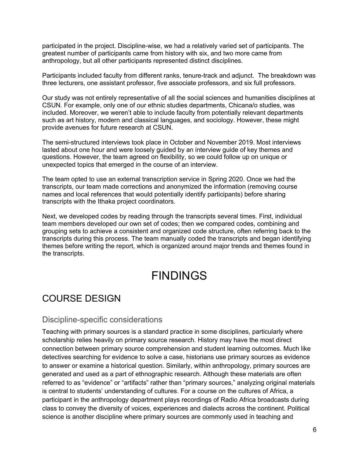participated in the project. Discipline-wise, we had a relatively varied set of participants. The greatest number of participants came from history with six, and two more came from anthropology, but all other participants represented distinct disciplines.

Participants included faculty from different ranks, tenure-track and adjunct. The breakdown was three lecturers, one assistant professor, five associate professors, and six full professors.

Our study was not entirely representative of all the social sciences and humanities disciplines at CSUN. For example, only one of our ethnic studies departments, Chicana/o studies, was included. Moreover, we weren't able to include faculty from potentially relevant departments such as art history, modern and classical languages, and sociology. However, these might provide avenues for future research at CSUN.

The semi-structured interviews took place in October and November 2019. Most interviews lasted about one hour and were loosely guided by an interview guide of key themes and questions. However, the team agreed on flexibility, so we could follow up on unique or unexpected topics that emerged in the course of an interview.

The team opted to use an external transcription service in Spring 2020. Once we had the transcripts, our team made corrections and anonymized the information (removing course names and local references that would potentially identify participants) before sharing transcripts with the Ithaka project coordinators.

Next, we developed codes by reading through the transcripts several times. First, individual team members developed our own set of codes; then we compared codes, combining and grouping sets to achieve a consistent and organized code structure, often referring back to the transcripts during this process. The team manually coded the transcripts and began identifying themes before writing the report, which is organized around major trends and themes found in the transcripts.

# FINDINGS

## COURSE DESIGN

### Discipline-specific considerations

Teaching with primary sources is a standard practice in some disciplines, particularly where scholarship relies heavily on primary source research. History may have the most direct connection between primary source comprehension and student learning outcomes. Much like detectives searching for evidence to solve a case, historians use primary sources as evidence to answer or examine a historical question. Similarly, within anthropology, primary sources are generated and used as a part of ethnographic research. Although these materials are often referred to as "evidence" or "artifacts" rather than "primary sources," analyzing original materials is central to students' understanding of cultures. For a course on the cultures of Africa, a participant in the anthropology department plays recordings of Radio Africa broadcasts during class to convey the diversity of voices, experiences and dialects across the continent. Political science is another discipline where primary sources are commonly used in teaching and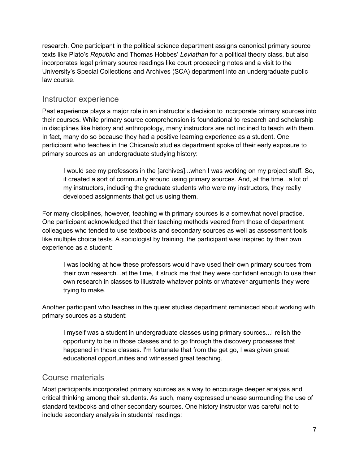research. One participant in the political science department assigns canonical primary source texts like Plato's *Republic* and Thomas Hobbes' *Leviathan* for a political theory class, but also incorporates legal primary source readings like court proceeding notes and a visit to the University's Special Collections and Archives (SCA) department into an undergraduate public law course.

### Instructor experience

Past experience plays a major role in an instructor's decision to incorporate primary sources into their courses. While primary source comprehension is foundational to research and scholarship in disciplines like history and anthropology, many instructors are not inclined to teach with them. In fact, many do so because they had a positive learning experience as a student. One participant who teaches in the Chicana/o studies department spoke of their early exposure to primary sources as an undergraduate studying history:

I would see my professors in the [archives]...when I was working on my project stuff. So, it created a sort of community around using primary sources. And, at the time...a lot of my instructors, including the graduate students who were my instructors, they really developed assignments that got us using them.

For many disciplines, however, teaching with primary sources is a somewhat novel practice. One participant acknowledged that their teaching methods veered from those of department colleagues who tended to use textbooks and secondary sources as well as assessment tools like multiple choice tests. A sociologist by training, the participant was inspired by their own experience as a student:

I was looking at how these professors would have used their own primary sources from their own research...at the time, it struck me that they were confident enough to use their own research in classes to illustrate whatever points or whatever arguments they were trying to make.

Another participant who teaches in the queer studies department reminisced about working with primary sources as a student:

I myself was a student in undergraduate classes using primary sources...I relish the opportunity to be in those classes and to go through the discovery processes that happened in those classes. I'm fortunate that from the get go, I was given great educational opportunities and witnessed great teaching.

## Course materials

Most participants incorporated primary sources as a way to encourage deeper analysis and critical thinking among their students. As such, many expressed unease surrounding the use of standard textbooks and other secondary sources. One history instructor was careful not to include secondary analysis in students' readings: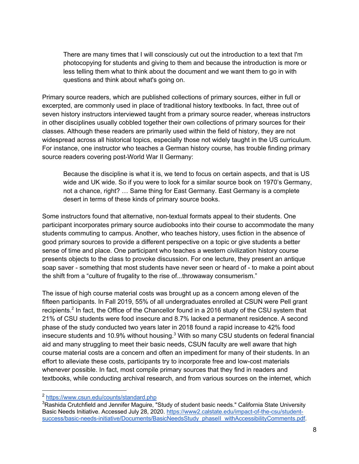There are many times that I will consciously cut out the introduction to a text that I'm photocopying for students and giving to them and because the introduction is more or less telling them what to think about the document and we want them to go in with questions and think about what's going on.

Primary source readers, which are published collections of primary sources, either in full or excerpted, are commonly used in place of traditional history textbooks. In fact, three out of seven history instructors interviewed taught from a primary source reader, whereas instructors in other disciplines usually cobbled together their own collections of primary sources for their classes. Although these readers are primarily used within the field of history, they are not widespread across all historical topics, especially those not widely taught in the US curriculum. For instance, one instructor who teaches a German history course, has trouble finding primary source readers covering post-World War II Germany:

Because the discipline is what it is, we tend to focus on certain aspects, and that is US wide and UK wide. So if you were to look for a similar source book on 1970's Germany, not a chance, right? … Same thing for East Germany. East Germany is a complete desert in terms of these kinds of primary source books.

Some instructors found that alternative, non-textual formats appeal to their students. One participant incorporates primary source audiobooks into their course to accommodate the many students commuting to campus. Another, who teaches history, uses fiction in the absence of good primary sources to provide a different perspective on a topic or give students a better sense of time and place. One participant who teaches a western civilization history course presents objects to the class to provoke discussion. For one lecture, they present an antique soap saver - something that most students have never seen or heard of - to make a point about the shift from a "culture of frugality to the rise of...throwaway consumerism."

The issue of high course material costs was brought up as a concern among eleven of the fifteen participants. In Fall 2019, 55% of all undergraduates enrolled at CSUN were Pell grant recipients.<sup>2</sup> In fact, the Office of the Chancellor found in a 2016 study of the CSU system that 21% of CSU students were food insecure and 8.7% lacked a permanent residence. A second phase of the study conducted two years later in 2018 found a rapid increase to 42% food insecure students and 10.9% without housing.<sup>3</sup> With so many CSU students on federal financial aid and many struggling to meet their basic needs, CSUN faculty are well aware that high course material costs are a concern and often an impediment for many of their students. In an effort to alleviate these costs, participants try to incorporate free and low-cost materials whenever possible. In fact, most compile primary sources that they find in readers and textbooks, while conducting archival research, and from various sources on the internet, which

<sup>&</sup>lt;sup>2</sup> https://www.csun.edu/counts/standard.php

 ${}^{3}$ Rashida Crutchfield and Jennifer Maguire, "Study of student basic needs." California State University Basic Needs Initiative. Accessed July 28, 2020. https://www2.calstate.edu/impact-of-the-csu/studentsuccess/basic-needs-initiative/Documents/BasicNeedsStudy\_phaseII\_withAccessibilityComments.pdf.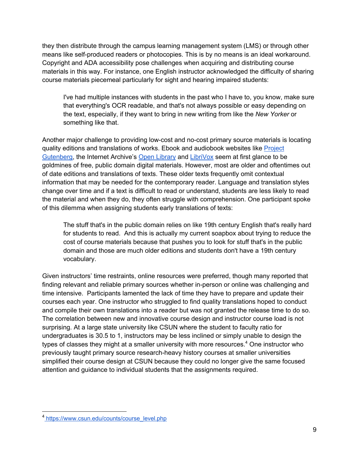they then distribute through the campus learning management system (LMS) or through other means like self-produced readers or photocopies. This is by no means is an ideal workaround. Copyright and ADA accessibility pose challenges when acquiring and distributing course materials in this way. For instance, one English instructor acknowledged the difficulty of sharing course materials piecemeal particularly for sight and hearing impaired students:

I've had multiple instances with students in the past who I have to, you know, make sure that everything's OCR readable, and that's not always possible or easy depending on the text, especially, if they want to bring in new writing from like the *New Yorker* or something like that.

Another major challenge to providing low-cost and no-cost primary source materials is locating quality editions and translations of works. Ebook and audiobook websites like Project Gutenberg, the Internet Archive's Open Library and LibriVox seem at first glance to be goldmines of free, public domain digital materials. However, most are older and oftentimes out of date editions and translations of texts. These older texts frequently omit contextual information that may be needed for the contemporary reader. Language and translation styles change over time and if a text is difficult to read or understand, students are less likely to read the material and when they do, they often struggle with comprehension. One participant spoke of this dilemma when assigning students early translations of texts:

The stuff that's in the public domain relies on like 19th century English that's really hard for students to read. And this is actually my current soapbox about trying to reduce the cost of course materials because that pushes you to look for stuff that's in the public domain and those are much older editions and students don't have a 19th century vocabulary.

Given instructors' time restraints, online resources were preferred, though many reported that finding relevant and reliable primary sources whether in-person or online was challenging and time intensive. Participants lamented the lack of time they have to prepare and update their courses each year. One instructor who struggled to find quality translations hoped to conduct and compile their own translations into a reader but was not granted the release time to do so. The correlation between new and innovative course design and instructor course load is not surprising. At a large state university like CSUN where the student to faculty ratio for undergraduates is 30.5 to 1, instructors may be less inclined or simply unable to design the types of classes they might at a smaller university with more resources.<sup>4</sup> One instructor who previously taught primary source research-heavy history courses at smaller universities simplified their course design at CSUN because they could no longer give the same focused attention and guidance to individual students that the assignments required.

<sup>&</sup>lt;sup>4</sup> https://www.csun.edu/counts/course\_level.php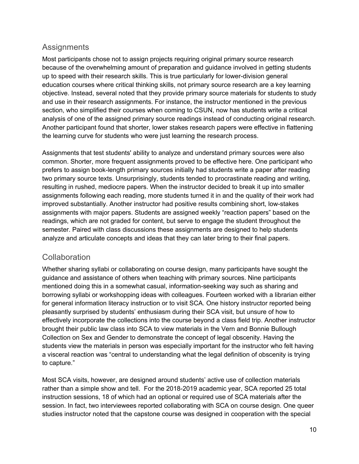## **Assignments**

Most participants chose not to assign projects requiring original primary source research because of the overwhelming amount of preparation and guidance involved in getting students up to speed with their research skills. This is true particularly for lower-division general education courses where critical thinking skills, not primary source research are a key learning objective. Instead, several noted that they provide primary source materials for students to study and use in their research assignments. For instance, the instructor mentioned in the previous section, who simplified their courses when coming to CSUN, now has students write a critical analysis of one of the assigned primary source readings instead of conducting original research. Another participant found that shorter, lower stakes research papers were effective in flattening the learning curve for students who were just learning the research process.

Assignments that test students' ability to analyze and understand primary sources were also common. Shorter, more frequent assignments proved to be effective here. One participant who prefers to assign book-length primary sources initially had students write a paper after reading two primary source texts. Unsurprisingly, students tended to procrastinate reading and writing, resulting in rushed, mediocre papers. When the instructor decided to break it up into smaller assignments following each reading, more students turned it in and the quality of their work had improved substantially. Another instructor had positive results combining short, low-stakes assignments with major papers. Students are assigned weekly "reaction papers" based on the readings, which are not graded for content, but serve to engage the student throughout the semester. Paired with class discussions these assignments are designed to help students analyze and articulate concepts and ideas that they can later bring to their final papers.

## **Collaboration**

Whether sharing syllabi or collaborating on course design, many participants have sought the guidance and assistance of others when teaching with primary sources. Nine participants mentioned doing this in a somewhat casual, information-seeking way such as sharing and borrowing syllabi or workshopping ideas with colleagues. Fourteen worked with a librarian either for general information literacy instruction or to visit SCA. One history instructor reported being pleasantly surprised by students' enthusiasm during their SCA visit, but unsure of how to effectively incorporate the collections into the course beyond a class field trip. Another instructor brought their public law class into SCA to view materials in the Vern and Bonnie Bullough Collection on Sex and Gender to demonstrate the concept of legal obscenity. Having the students view the materials in person was especially important for the instructor who felt having a visceral reaction was "central to understanding what the legal definition of obscenity is trying to capture."

Most SCA visits, however, are designed around students' active use of collection materials rather than a simple show and tell. For the 2018-2019 academic year, SCA reported 25 total instruction sessions, 18 of which had an optional or required use of SCA materials after the session. In fact, two interviewees reported collaborating with SCA on course design. One queer studies instructor noted that the capstone course was designed in cooperation with the special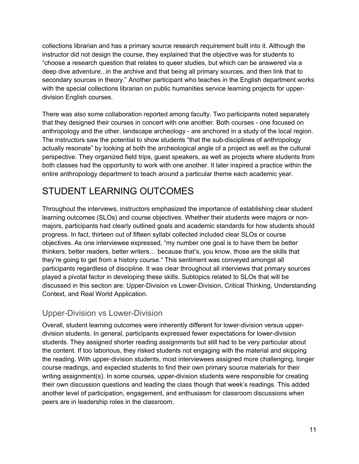collections librarian and has a primary source research requirement built into it. Although the instructor did not design the course, they explained that the objective was for students to "choose a research question that relates to queer studies, but which can be answered via a deep dive adventure...in the archive and that being all primary sources, and then link that to secondary sources in theory." Another participant who teaches in the English department works with the special collections librarian on public humanities service learning projects for upperdivision English courses.

There was also some collaboration reported among faculty. Two participants noted separately that they designed their courses in concert with one another. Both courses - one focused on anthropology and the other, landscape archeology - are anchored in a study of the local region. The instructors saw the potential to show students "that the sub-disciplines of anthropology actually resonate" by looking at both the archeological angle of a project as well as the cultural perspective. They organized field trips, guest speakers, as well as projects where students from both classes had the opportunity to work with one another. It later inspired a practice within the entire anthropology department to teach around a particular theme each academic year.

## STUDENT LEARNING OUTCOMES

Throughout the interviews, instructors emphasized the importance of establishing clear student learning outcomes (SLOs) and course objectives. Whether their students were majors or nonmajors, participants had clearly outlined goals and academic standards for how students should progress. In fact, thirteen out of fifteen syllabi collected included clear SLOs or course objectives. As one interviewee expressed, "my number one goal is to have them be better thinkers, better readers, better writers… because that's, you know, those are the skills that they're going to get from a history course." This sentiment was conveyed amongst all participants regardless of discipline. It was clear throughout all interviews that primary sources played a pivotal factor in developing these skills. Subtopics related to SLOs that will be discussed in this section are: Upper-Division vs Lower-Division, Critical Thinking, Understanding Context, and Real World Application.

## Upper-Division vs Lower-Division

Overall, student learning outcomes were inherently different for lower-division versus upperdivision students. In general, participants expressed fewer expectations for lower-division students. They assigned shorter reading assignments but still had to be very particular about the content. If too laborious, they risked students not engaging with the material and skipping the reading. With upper-division students, most interviewees assigned more challenging, longer course readings, and expected students to find their own primary source materials for their writing assignment(s). In some courses, upper-division students were responsible for creating their own discussion questions and leading the class though that week's readings. This added another level of participation, engagement, and enthusiasm for classroom discussions when peers are in leadership roles in the classroom.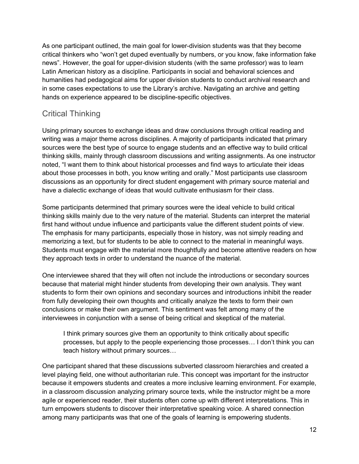As one participant outlined, the main goal for lower-division students was that they become critical thinkers who "won't get duped eventually by numbers, or you know, fake information fake news". However, the goal for upper-division students (with the same professor) was to learn Latin American history as a discipline. Participants in social and behavioral sciences and humanities had pedagogical aims for upper division students to conduct archival research and in some cases expectations to use the Library's archive. Navigating an archive and getting hands on experience appeared to be discipline-specific objectives.

## Critical Thinking

Using primary sources to exchange ideas and draw conclusions through critical reading and writing was a major theme across disciplines. A majority of participants indicated that primary sources were the best type of source to engage students and an effective way to build critical thinking skills, mainly through classroom discussions and writing assignments. As one instructor noted, "I want them to think about historical processes and find ways to articulate their ideas about those processes in both, you know writing and orally." Most participants use classroom discussions as an opportunity for direct student engagement with primary source material and have a dialectic exchange of ideas that would cultivate enthusiasm for their class.

Some participants determined that primary sources were the ideal vehicle to build critical thinking skills mainly due to the very nature of the material. Students can interpret the material first hand without undue influence and participants value the different student points of view. The emphasis for many participants, especially those in history, was not simply reading and memorizing a text, but for students to be able to connect to the material in meaningful ways. Students must engage with the material more thoughtfully and become attentive readers on how they approach texts in order to understand the nuance of the material.

One interviewee shared that they will often not include the introductions or secondary sources because that material might hinder students from developing their own analysis. They want students to form their own opinions and secondary sources and introductions inhibit the reader from fully developing their own thoughts and critically analyze the texts to form their own conclusions or make their own argument. This sentiment was felt among many of the interviewees in conjunction with a sense of being critical and skeptical of the material.

I think primary sources give them an opportunity to think critically about specific processes, but apply to the people experiencing those processes… I don't think you can teach history without primary sources…

One participant shared that these discussions subverted classroom hierarchies and created a level playing field, one without authoritarian rule. This concept was important for the instructor because it empowers students and creates a more inclusive learning environment. For example, in a classroom discussion analyzing primary source texts, while the instructor might be a more agile or experienced reader, their students often come up with different interpretations. This in turn empowers students to discover their interpretative speaking voice. A shared connection among many participants was that one of the goals of learning is empowering students.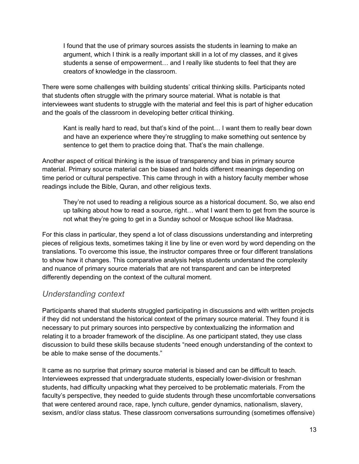I found that the use of primary sources assists the students in learning to make an argument, which I think is a really important skill in a lot of my classes, and it gives students a sense of empowerment… and I really like students to feel that they are creators of knowledge in the classroom.

There were some challenges with building students' critical thinking skills. Participants noted that students often struggle with the primary source material. What is notable is that interviewees want students to struggle with the material and feel this is part of higher education and the goals of the classroom in developing better critical thinking.

Kant is really hard to read, but that's kind of the point… I want them to really bear down and have an experience where they're struggling to make something out sentence by sentence to get them to practice doing that. That's the main challenge.

Another aspect of critical thinking is the issue of transparency and bias in primary source material. Primary source material can be biased and holds different meanings depending on time period or cultural perspective. This came through in with a history faculty member whose readings include the Bible, Quran, and other religious texts.

They're not used to reading a religious source as a historical document. So, we also end up talking about how to read a source, right… what I want them to get from the source is not what they're going to get in a Sunday school or Mosque school like Madrasa.

For this class in particular, they spend a lot of class discussions understanding and interpreting pieces of religious texts, sometimes taking it line by line or even word by word depending on the translations. To overcome this issue, the instructor compares three or four different translations to show how it changes. This comparative analysis helps students understand the complexity and nuance of primary source materials that are not transparent and can be interpreted differently depending on the context of the cultural moment.

## *Understanding context*

Participants shared that students struggled participating in discussions and with written projects if they did not understand the historical context of the primary source material. They found it is necessary to put primary sources into perspective by contextualizing the information and relating it to a broader framework of the discipline. As one participant stated, they use class discussion to build these skills because students "need enough understanding of the context to be able to make sense of the documents."

It came as no surprise that primary source material is biased and can be difficult to teach. Interviewees expressed that undergraduate students, especially lower-division or freshman students, had difficulty unpacking what they perceived to be problematic materials. From the faculty's perspective, they needed to guide students through these uncomfortable conversations that were centered around race, rape, lynch culture, gender dynamics, nationalism, slavery, sexism, and/or class status. These classroom conversations surrounding (sometimes offensive)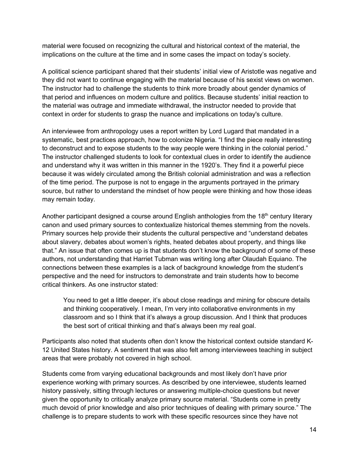material were focused on recognizing the cultural and historical context of the material, the implications on the culture at the time and in some cases the impact on today's society.

A political science participant shared that their students' initial view of Aristotle was negative and they did not want to continue engaging with the material because of his sexist views on women. The instructor had to challenge the students to think more broadly about gender dynamics of that period and influences on modern culture and politics. Because students' initial reaction to the material was outrage and immediate withdrawal, the instructor needed to provide that context in order for students to grasp the nuance and implications on today's culture.

An interviewee from anthropology uses a report written by Lord Lugard that mandated in a systematic, best practices approach, how to colonize Nigeria. "I find the piece really interesting to deconstruct and to expose students to the way people were thinking in the colonial period." The instructor challenged students to look for contextual clues in order to identify the audience and understand why it was written in this manner in the 1920's. They find it a powerful piece because it was widely circulated among the British colonial administration and was a reflection of the time period. The purpose is not to engage in the arguments portrayed in the primary source, but rather to understand the mindset of how people were thinking and how those ideas may remain today.

Another participant designed a course around English anthologies from the  $18<sup>th</sup>$  century literary canon and used primary sources to contextualize historical themes stemming from the novels. Primary sources help provide their students the cultural perspective and "understand debates about slavery, debates about women's rights, heated debates about property, and things like that." An issue that often comes up is that students don't know the background of some of these authors, not understanding that Harriet Tubman was writing long after Olaudah Equiano. The connections between these examples is a lack of background knowledge from the student's perspective and the need for instructors to demonstrate and train students how to become critical thinkers. As one instructor stated:

You need to get a little deeper, it's about close readings and mining for obscure details and thinking cooperatively. I mean, I'm very into collaborative environments in my classroom and so I think that it's always a group discussion. And I think that produces the best sort of critical thinking and that's always been my real goal.

Participants also noted that students often don't know the historical context outside standard K-12 United States history. A sentiment that was also felt among interviewees teaching in subject areas that were probably not covered in high school.

Students come from varying educational backgrounds and most likely don't have prior experience working with primary sources. As described by one interviewee, students learned history passively, sitting through lectures or answering multiple-choice questions but never given the opportunity to critically analyze primary source material. "Students come in pretty much devoid of prior knowledge and also prior techniques of dealing with primary source." The challenge is to prepare students to work with these specific resources since they have not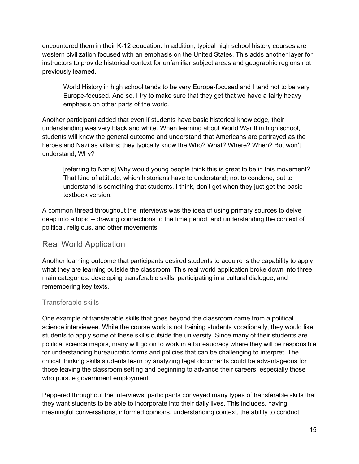encountered them in their K-12 education. In addition, typical high school history courses are western civilization focused with an emphasis on the United States. This adds another layer for instructors to provide historical context for unfamiliar subject areas and geographic regions not previously learned.

World History in high school tends to be very Europe-focused and I tend not to be very Europe-focused. And so, I try to make sure that they get that we have a fairly heavy emphasis on other parts of the world.

Another participant added that even if students have basic historical knowledge, their understanding was very black and white. When learning about World War II in high school, students will know the general outcome and understand that Americans are portrayed as the heroes and Nazi as villains; they typically know the Who? What? Where? When? But won't understand, Why?

[referring to Nazis] Why would young people think this is great to be in this movement? That kind of attitude, which historians have to understand; not to condone, but to understand is something that students, I think, don't get when they just get the basic textbook version.

A common thread throughout the interviews was the idea of using primary sources to delve deep into a topic – drawing connections to the time period, and understanding the context of political, religious, and other movements.

## Real World Application

Another learning outcome that participants desired students to acquire is the capability to apply what they are learning outside the classroom. This real world application broke down into three main categories: developing transferable skills, participating in a cultural dialogue, and remembering key texts.

### Transferable skills

One example of transferable skills that goes beyond the classroom came from a political science interviewee. While the course work is not training students vocationally, they would like students to apply some of these skills outside the university. Since many of their students are political science majors, many will go on to work in a bureaucracy where they will be responsible for understanding bureaucratic forms and policies that can be challenging to interpret. The critical thinking skills students learn by analyzing legal documents could be advantageous for those leaving the classroom setting and beginning to advance their careers, especially those who pursue government employment.

Peppered throughout the interviews, participants conveyed many types of transferable skills that they want students to be able to incorporate into their daily lives. This includes, having meaningful conversations, informed opinions, understanding context, the ability to conduct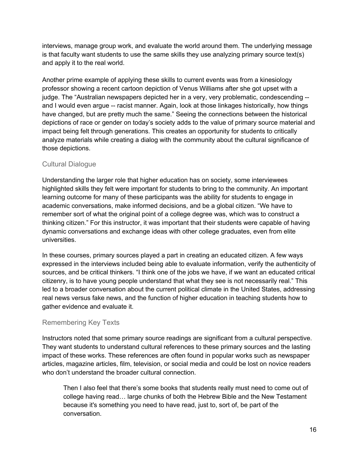interviews, manage group work, and evaluate the world around them. The underlying message is that faculty want students to use the same skills they use analyzing primary source text(s) and apply it to the real world.

Another prime example of applying these skills to current events was from a kinesiology professor showing a recent cartoon depiction of Venus Williams after she got upset with a judge. The "Australian newspapers depicted her in a very, very problematic, condescending - and I would even argue -- racist manner. Again, look at those linkages historically, how things have changed, but are pretty much the same." Seeing the connections between the historical depictions of race or gender on today's society adds to the value of primary source material and impact being felt through generations. This creates an opportunity for students to critically analyze materials while creating a dialog with the community about the cultural significance of those depictions.

### Cultural Dialogue

Understanding the larger role that higher education has on society, some interviewees highlighted skills they felt were important for students to bring to the community. An important learning outcome for many of these participants was the ability for students to engage in academic conversations, make informed decisions, and be a global citizen. "We have to remember sort of what the original point of a college degree was, which was to construct a thinking citizen." For this instructor, it was important that their students were capable of having dynamic conversations and exchange ideas with other college graduates, even from elite universities.

In these courses, primary sources played a part in creating an educated citizen. A few ways expressed in the interviews included being able to evaluate information, verify the authenticity of sources, and be critical thinkers. "I think one of the jobs we have, if we want an educated critical citizenry, is to have young people understand that what they see is not necessarily real." This led to a broader conversation about the current political climate in the United States, addressing real news versus fake news, and the function of higher education in teaching students how to gather evidence and evaluate it.

### Remembering Key Texts

Instructors noted that some primary source readings are significant from a cultural perspective. They want students to understand cultural references to these primary sources and the lasting impact of these works. These references are often found in popular works such as newspaper articles, magazine articles, film, television, or social media and could be lost on novice readers who don't understand the broader cultural connection.

Then I also feel that there's some books that students really must need to come out of college having read… large chunks of both the Hebrew Bible and the New Testament because it's something you need to have read, just to, sort of, be part of the conversation.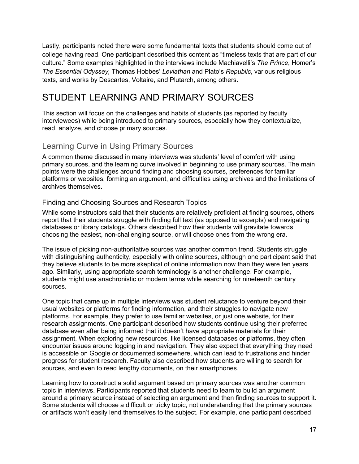Lastly, participants noted there were some fundamental texts that students should come out of college having read. One participant described this content as "timeless texts that are part of our culture." Some examples highlighted in the interviews include Machiavelli's *The Prince*, Homer's *The Essential Odyssey,* Thomas Hobbes' *Leviathan* and Plato's *Republic*, various religious texts, and works by Descartes, Voltaire, and Plutarch, among others.

## STUDENT LEARNING AND PRIMARY SOURCES

This section will focus on the challenges and habits of students (as reported by faculty interviewees) while being introduced to primary sources, especially how they contextualize, read, analyze, and choose primary sources.

## Learning Curve in Using Primary Sources

A common theme discussed in many interviews was students' level of comfort with using primary sources, and the learning curve involved in beginning to use primary sources. The main points were the challenges around finding and choosing sources, preferences for familiar platforms or websites, forming an argument, and difficulties using archives and the limitations of archives themselves.

### Finding and Choosing Sources and Research Topics

While some instructors said that their students are relatively proficient at finding sources, others report that their students struggle with finding full text (as opposed to excerpts) and navigating databases or library catalogs. Others described how their students will gravitate towards choosing the easiest, non-challenging source, or will choose ones from the wrong era.

The issue of picking non-authoritative sources was another common trend. Students struggle with distinguishing authenticity, especially with online sources, although one participant said that they believe students to be more skeptical of online information now than they were ten years ago. Similarly, using appropriate search terminology is another challenge. For example, students might use anachronistic or modern terms while searching for nineteenth century sources.

One topic that came up in multiple interviews was student reluctance to venture beyond their usual websites or platforms for finding information, and their struggles to navigate new platforms. For example, they prefer to use familiar websites, or just one website, for their research assignments. One participant described how students continue using their preferred database even after being informed that it doesn't have appropriate materials for their assignment. When exploring new resources, like licensed databases or platforms, they often encounter issues around logging in and navigation. They also expect that everything they need is accessible on Google or documented somewhere, which can lead to frustrations and hinder progress for student research. Faculty also described how students are willing to search for sources, and even to read lengthy documents, on their smartphones.

Learning how to construct a solid argument based on primary sources was another common topic in interviews. Participants reported that students need to learn to build an argument around a primary source instead of selecting an argument and then finding sources to support it. Some students will choose a difficult or tricky topic, not understanding that the primary sources or artifacts won't easily lend themselves to the subject. For example, one participant described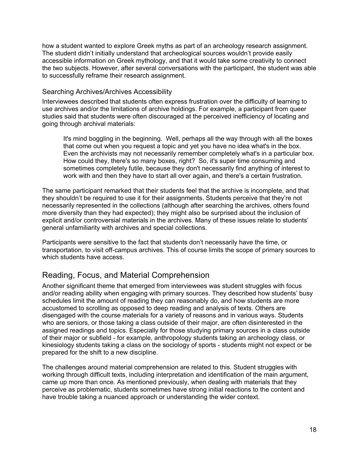how a student wanted to explore Greek myths as part of an archeology research assignment. The student didn't initially understand that archeological sources wouldn't provide easily accessible information on Greek mythology, and that it would take some creativity to connect the two subjects. However, after several conversations with the participant, the student was able to successfully reframe their research assignment.

### Searching Archives/Archives Accessibility

Interviewees described that students often express frustration over the difficulty of learning to use archives and/or the limitations of archive holdings. For example, a participant from queer studies said that students were often discouraged at the perceived inefficiency of locating and going through archival materials:

It's mind boggling in the beginning. Well, perhaps all the way through with all the boxes that come out when you request a topic and yet you have no idea what's in the box. Even the archivists may not necessarily remember completely what's in a particular box. How could they, there's so many boxes, right? So, it's super time consuming and sometimes completely futile, because they don't necessarily find anything of interest to work with and then they have to start all over again, and there's a certain frustration.

The same participant remarked that their students feel that the archive is incomplete, and that they shouldn't be required to use it for their assignments. Students perceive that they're not necessarily represented in the collections (although after searching the archives, others found more diversity than they had expected); they might also be surprised about the inclusion of explicit and/or controversial materials in the archives. Many of these issues relate to students' general unfamiliarity with archives and special collections.

Participants were sensitive to the fact that students don't necessarily have the time, or transportation, to visit off-campus archives. This of course limits the scope of primary sources to which students have access.

## Reading, Focus, and Material Comprehension

Another significant theme that emerged from interviewees was student struggles with focus and/or reading ability when engaging with primary sources. They described how students' busy schedules limit the amount of reading they can reasonably do, and how students are more accustomed to scrolling as opposed to deep reading and analysis of texts. Others are disengaged with the course materials for a variety of reasons and in various ways. Students who are seniors, or those taking a class outside of their major, are often disinterested in the assigned readings and topics. Especially for those studying primary sources in a class outside of their major or subfield - for example, anthropology students taking an archeology class, or kinesiology students taking a class on the sociology of sports - students might not expect or be prepared for the shift to a new discipline.

The challenges around material comprehension are related to this. Student struggles with working through difficult texts, including interpretation and identification of the main argument, came up more than once. As mentioned previously, when dealing with materials that they perceive as problematic, students sometimes have strong initial reactions to the content and have trouble taking a nuanced approach or understanding the wider context.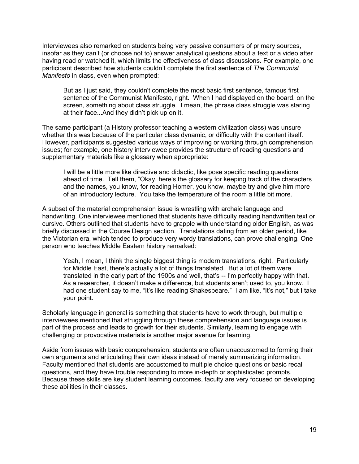Interviewees also remarked on students being very passive consumers of primary sources, insofar as they can't (or choose not to) answer analytical questions about a text or a video after having read or watched it, which limits the effectiveness of class discussions. For example, one participant described how students couldn't complete the first sentence of *The Communist Manifesto* in class, even when prompted:

But as I just said, they couldn't complete the most basic first sentence, famous first sentence of the Communist Manifesto, right. When I had displayed on the board, on the screen, something about class struggle. I mean, the phrase class struggle was staring at their face...And they didn't pick up on it.

The same participant (a History professor teaching a western civilization class) was unsure whether this was because of the particular class dynamic, or difficulty with the content itself. However, participants suggested various ways of improving or working through comprehension issues; for example, one history interviewee provides the structure of reading questions and supplementary materials like a glossary when appropriate:

I will be a little more like directive and didactic, like pose specific reading questions ahead of time. Tell them, "Okay, here's the glossary for keeping track of the characters and the names, you know, for reading Homer, you know, maybe try and give him more of an introductory lecture. You take the temperature of the room a little bit more.

A subset of the material comprehension issue is wrestling with archaic language and handwriting. One interviewee mentioned that students have difficulty reading handwritten text or cursive. Others outlined that students have to grapple with understanding older English, as was briefly discussed in the Course Design section. Translations dating from an older period, like the Victorian era, which tended to produce very wordy translations, can prove challenging. One person who teaches Middle Eastern history remarked:

Yeah, I mean, I think the single biggest thing is modern translations, right. Particularly for Middle East, there's actually a lot of things translated. But a lot of them were translated in the early part of the 1900s and well, that's -- I'm perfectly happy with that. As a researcher, it doesn't make a difference, but students aren't used to, you know. I had one student say to me, "It's like reading Shakespeare." I am like, "It's not," but I take your point.

Scholarly language in general is something that students have to work through, but multiple interviewees mentioned that struggling through these comprehension and language issues is part of the process and leads to growth for their students. Similarly, learning to engage with challenging or provocative materials is another major avenue for learning.

Aside from issues with basic comprehension, students are often unaccustomed to forming their own arguments and articulating their own ideas instead of merely summarizing information. Faculty mentioned that students are accustomed to multiple choice questions or basic recall questions, and they have trouble responding to more in-depth or sophisticated prompts. Because these skills are key student learning outcomes, faculty are very focused on developing these abilities in their classes.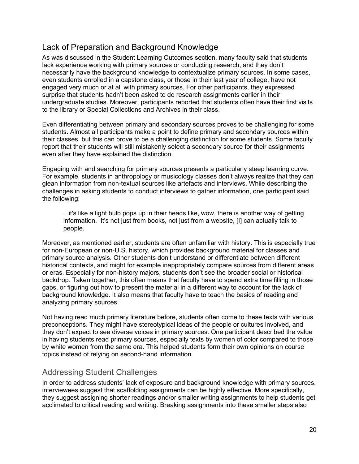## Lack of Preparation and Background Knowledge

As was discussed in the Student Learning Outcomes section, many faculty said that students lack experience working with primary sources or conducting research, and they don't necessarily have the background knowledge to contextualize primary sources. In some cases, even students enrolled in a capstone class, or those in their last year of college, have not engaged very much or at all with primary sources. For other participants, they expressed surprise that students hadn't been asked to do research assignments earlier in their undergraduate studies. Moreover, participants reported that students often have their first visits to the library or Special Collections and Archives in their class.

Even differentiating between primary and secondary sources proves to be challenging for some students. Almost all participants make a point to define primary and secondary sources within their classes, but this can prove to be a challenging distinction for some students. Some faculty report that their students will still mistakenly select a secondary source for their assignments even after they have explained the distinction.

Engaging with and searching for primary sources presents a particularly steep learning curve. For example, students in anthropology or musicology classes don't always realize that they can glean information from non-textual sources like artefacts and interviews. While describing the challenges in asking students to conduct interviews to gather information, one participant said the following:

...it's like a light bulb pops up in their heads like, wow, there is another way of getting information. It's not just from books, not just from a website, [I] can actually talk to people.

Moreover, as mentioned earlier, students are often unfamiliar with history. This is especially true for non-European or non-U.S. history, which provides background material for classes and primary source analysis. Other students don't understand or differentiate between different historical contexts, and might for example inappropriately compare sources from different areas or eras. Especially for non-history majors, students don't see the broader social or historical backdrop. Taken together, this often means that faculty have to spend extra time filling in those gaps, or figuring out how to present the material in a different way to account for the lack of background knowledge. It also means that faculty have to teach the basics of reading and analyzing primary sources.

Not having read much primary literature before, students often come to these texts with various preconceptions. They might have stereotypical ideas of the people or cultures involved, and they don't expect to see diverse voices in primary sources. One participant described the value in having students read primary sources, especially texts by women of color compared to those by white women from the same era. This helped students form their own opinions on course topics instead of relying on second-hand information.

## Addressing Student Challenges

In order to address students' lack of exposure and background knowledge with primary sources, interviewees suggest that scaffolding assignments can be highly effective. More specifically, they suggest assigning shorter readings and/or smaller writing assignments to help students get acclimated to critical reading and writing. Breaking assignments into these smaller steps also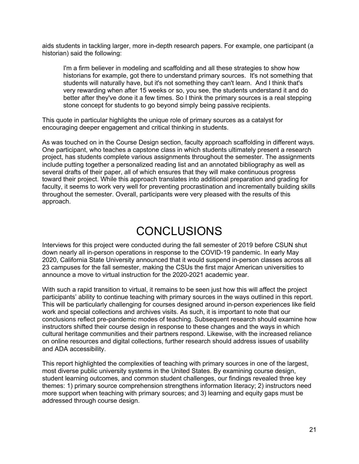aids students in tackling larger, more in-depth research papers. For example, one participant (a historian) said the following:

I'm a firm believer in modeling and scaffolding and all these strategies to show how historians for example, got there to understand primary sources. It's not something that students will naturally have, but it's not something they can't learn. And I think that's very rewarding when after 15 weeks or so, you see, the students understand it and do better after they've done it a few times. So I think the primary sources is a real stepping stone concept for students to go beyond simply being passive recipients.

This quote in particular highlights the unique role of primary sources as a catalyst for encouraging deeper engagement and critical thinking in students.

As was touched on in the Course Design section, faculty approach scaffolding in different ways. One participant, who teaches a capstone class in which students ultimately present a research project, has students complete various assignments throughout the semester. The assignments include putting together a personalized reading list and an annotated bibliography as well as several drafts of their paper, all of which ensures that they will make continuous progress toward their project. While this approach translates into additional preparation and grading for faculty, it seems to work very well for preventing procrastination and incrementally building skills throughout the semester. Overall, participants were very pleased with the results of this approach.

# CONCLUSIONS

Interviews for this project were conducted during the fall semester of 2019 before CSUN shut down nearly all in-person operations in response to the COVID-19 pandemic. In early May 2020, California State University announced that it would suspend in-person classes across all 23 campuses for the fall semester, making the CSUs the first major American universities to announce a move to virtual instruction for the 2020-2021 academic year.

With such a rapid transition to virtual, it remains to be seen just how this will affect the project participants' ability to continue teaching with primary sources in the ways outlined in this report. This will be particularly challenging for courses designed around in-person experiences like field work and special collections and archives visits. As such, it is important to note that our conclusions reflect pre-pandemic modes of teaching. Subsequent research should examine how instructors shifted their course design in response to these changes and the ways in which cultural heritage communities and their partners respond. Likewise, with the increased reliance on online resources and digital collections, further research should address issues of usability and ADA accessibility.

This report highlighted the complexities of teaching with primary sources in one of the largest, most diverse public university systems in the United States. By examining course design, student learning outcomes, and common student challenges, our findings revealed three key themes: 1) primary source comprehension strengthens information literacy; 2) instructors need more support when teaching with primary sources; and 3) learning and equity gaps must be addressed through course design.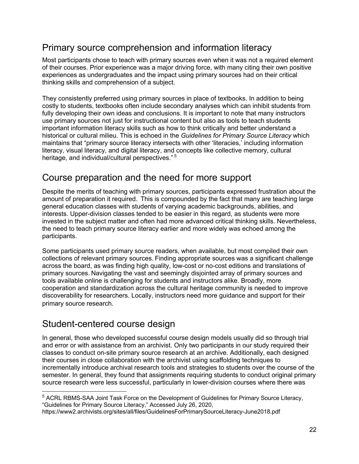## Primary source comprehension and information literacy

Most participants chose to teach with primary sources even when it was not a required element of their courses. Prior experience was a major driving force, with many citing their own positive experiences as undergraduates and the impact using primary sources had on their critical thinking skills and comprehension of a subject. 

They consistently preferred using primary sources in place of textbooks. In addition to being costly to students, textbooks often include secondary analyses which can inhibit students from fully developing their own ideas and conclusions. It is important to note that many instructors use primary sources not just for instructional content but also as tools to teach students important information literacy skills such as how to think critically and better understand a historical or cultural milieu. This is echoed in the *Guidelines for Primary Source Literacy* which maintains that "primary source literacy intersects with other 'literacies,' including information literacy, visual literacy, and digital literacy, and concepts like collective memory, cultural heritage, and individual/cultural perspectives." 5

## Course preparation and the need for more support

Despite the merits of teaching with primary sources, participants expressed frustration about the amount of preparation it required.  This is compounded by the fact that many are teaching large general education classes with students of varying academic backgrounds, abilities, and interests. Upper-division classes tended to be easier in this regard, as students were more invested in the subject matter and often had more advanced critical thinking skills. Nevertheless, the need to teach primary source literacy earlier and more widely was echoed among the participants.

Some participants used primary source readers, when available, but most compiled their own collections of relevant primary sources. Finding appropriate sources was a significant challenge across the board, as was finding high quality, low-cost or no-cost editions and translations of primary sources. Navigating the vast and seemingly disjointed array of primary sources and tools available online is challenging for students and instructors alike. Broadly, more cooperation and standardization across the cultural heritage community is needed to improve discoverability for researchers. Locally, instructors need more guidance and support for their primary source research.

## Student-centered course design

In general, those who developed successful course design models usually did so through trial and error or with assistance from an archivist. Only two participants in our study required their classes to conduct on-site primary source research at an archive. Additionally, each designed their courses in close collaboration with the archivist using scaffolding techniques to incrementally introduce archival research tools and strategies to students over the course of the semester. In general, they found that assignments requiring students to conduct original primary source research were less successful, particularly in lower-division courses where there was

<sup>5</sup> ACRL RBMS-SAA Joint Task Force on the Development of Guidelines for Primary Source Literacy, "Guidelines for Primary Source Literacy," Accessed July 26, 2020,

https://www2.archivists.org/sites/all/files/GuidelinesForPrimarySourceLiteracy-June2018.pdf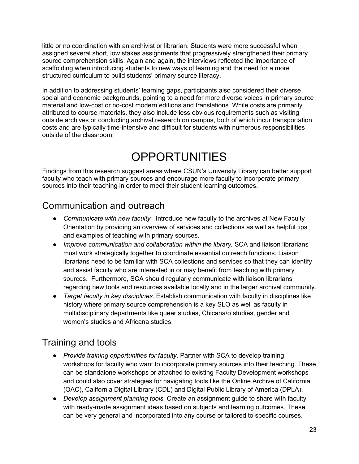little or no coordination with an archivist or librarian. Students were more successful when assigned several short, low stakes assignments that progressively strengthened their primary source comprehension skills. Again and again, the interviews reflected the importance of scaffolding when introducing students to new ways of learning and the need for a more structured curriculum to build students' primary source literacy.

In addition to addressing students' learning gaps, participants also considered their diverse social and economic backgrounds, pointing to a need for more diverse voices in primary source material and low-cost or no-cost modern editions and translations While costs are primarily attributed to course materials, they also include less obvious requirements such as visiting outside archives or conducting archival research on campus, both of which incur transportation costs and are typically time-intensive and difficult for students with numerous responsibilities outside of the classroom.

# **OPPORTUNITIES**

Findings from this research suggest areas where CSUN's University Library can better support faculty who teach with primary sources and encourage more faculty to incorporate primary sources into their teaching in order to meet their student learning outcomes.

## Communication and outreach

- *Communicate with new faculty.* Introduce new faculty to the archives at New Faculty Orientation by providing an overview of services and collections as well as helpful tips and examples of teaching with primary sources.
- *Improve communication and collaboration within the library.* SCA and liaison librarians must work strategically together to coordinate essential outreach functions. Liaison librarians need to be familiar with SCA collections and services so that they can identify and assist faculty who are interested in or may benefit from teaching with primary sources. Furthermore, SCA should regularly communicate with liaison librarians regarding new tools and resources available locally and in the larger archival community.
- *Target faculty in key disciplines*. Establish communication with faculty in disciplines like history where primary source comprehension is a key SLO as well as faculty in multidisciplinary departments like queer studies, Chicana/o studies, gender and women's studies and Africana studies.

## Training and tools

- *Provide training opportunities for faculty*. Partner with SCA to develop training workshops for faculty who want to incorporate primary sources into their teaching. These can be standalone workshops or attached to existing Faculty Development workshops and could also cover strategies for navigating tools like the Online Archive of California (OAC), California Digital Library (CDL) and Digital Public Library of America (DPLA).
- *Develop assignment planning tools.* Create an assignment guide to share with faculty with ready-made assignment ideas based on subjects and learning outcomes. These can be very general and incorporated into any course or tailored to specific courses.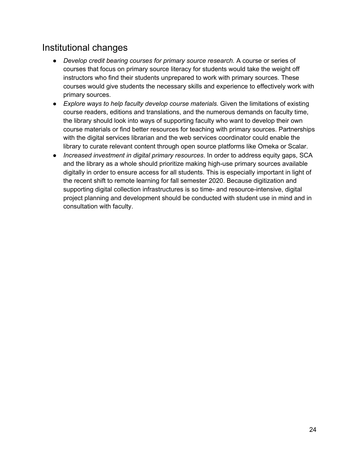## Institutional changes

- *Develop credit bearing courses for primary source research.* A course or series of courses that focus on primary source literacy for students would take the weight off instructors who find their students unprepared to work with primary sources. These courses would give students the necessary skills and experience to effectively work with primary sources.
- *Explore ways to help faculty develop course materials.* Given the limitations of existing course readers, editions and translations, and the numerous demands on faculty time, the library should look into ways of supporting faculty who want to develop their own course materials or find better resources for teaching with primary sources. Partnerships with the digital services librarian and the web services coordinator could enable the library to curate relevant content through open source platforms like Omeka or Scalar.
- *Increased investment in digital primary resources*. In order to address equity gaps, SCA and the library as a whole should prioritize making high-use primary sources available digitally in order to ensure access for all students. This is especially important in light of the recent shift to remote learning for fall semester 2020. Because digitization and supporting digital collection infrastructures is so time- and resource-intensive, digital project planning and development should be conducted with student use in mind and in consultation with faculty.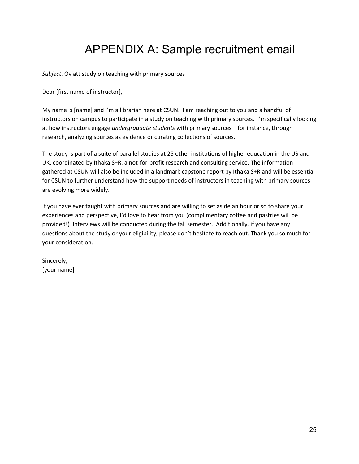# APPENDIX A: Sample recruitment email

*Subject*. Oviatt study on teaching with primary sources

Dear [first name of instructor],

My name is [name] and I'm a librarian here at CSUN. I am reaching out to you and a handful of instructors on campus to participate in a study on teaching with primary sources. I'm specifically looking at how instructors engage *undergraduate students* with primary sources – for instance, through research, analyzing sources as evidence or curating collections of sources.

The study is part of a suite of parallel studies at 25 other institutions of higher education in the US and UK, coordinated by Ithaka S+R, a not-for-profit research and consulting service. The information gathered at CSUN will also be included in a landmark capstone report by Ithaka S+R and will be essential for CSUN to further understand how the support needs of instructors in teaching with primary sources are evolving more widely.

If you have ever taught with primary sources and are willing to set aside an hour or so to share your experiences and perspective, I'd love to hear from you (complimentary coffee and pastries will be provided!) Interviews will be conducted during the fall semester. Additionally, if you have any questions about the study or your eligibility, please don't hesitate to reach out. Thank you so much for your consideration.

Sincerely, [your name]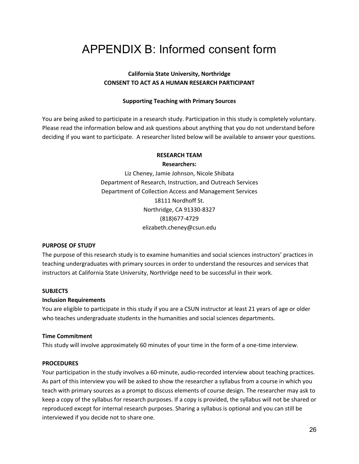# APPENDIX B: Informed consent form

### **California State University, Northridge CONSENT TO ACT AS A HUMAN RESEARCH PARTICIPANT**

### **Supporting Teaching with Primary Sources**

You are being asked to participate in a research study. Participation in this study is completely voluntary. Please read the information below and ask questions about anything that you do not understand before deciding if you want to participate. A researcher listed below will be available to answer your questions.

### **RESEARCH TEAM**

**Researchers:** Liz Cheney, Jamie Johnson, Nicole Shibata Department of Research, Instruction, and Outreach Services Department of Collection Access and Management Services 18111 Nordhoff St. Northridge, CA 91330-8327 (818)677-4729 elizabeth.cheney@csun.edu

### **PURPOSE OF STUDY**

The purpose of this research study is to examine humanities and social sciences instructors' practices in teaching undergraduates with primary sources in order to understand the resources and services that instructors at California State University, Northridge need to be successful in their work.

### **SUBJECTS**

### **Inclusion Requirements**

You are eligible to participate in this study if you are a CSUN instructor at least 21 years of age or older who teaches undergraduate students in the humanities and social sciences departments.

### **Time Commitment**

This study will involve approximately 60 minutes of your time in the form of a one-time interview.

### **PROCEDURES**

Your participation in the study involves a 60-minute, audio-recorded interview about teaching practices. As part of this interview you will be asked to show the researcher a syllabus from a course in which you teach with primary sources as a prompt to discuss elements of course design. The researcher may ask to keep a copy of the syllabus for research purposes. If a copy is provided, the syllabus will not be shared or reproduced except for internal research purposes. Sharing a syllabus is optional and you can still be interviewed if you decide not to share one.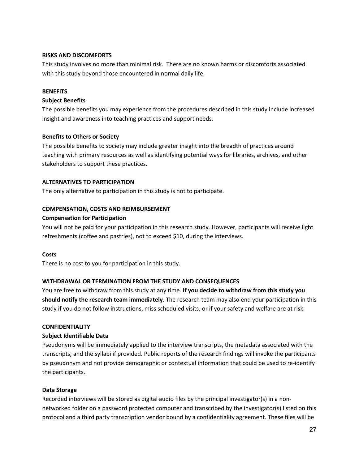#### **RISKS AND DISCOMFORTS**

This study involves no more than minimal risk. There are no known harms or discomforts associated with this study beyond those encountered in normal daily life.

#### **BENEFITS**

#### **Subject Benefits**

The possible benefits you may experience from the procedures described in this study include increased insight and awareness into teaching practices and support needs.

#### **Benefits to Others or Society**

The possible benefits to society may include greater insight into the breadth of practices around teaching with primary resources as well as identifying potential ways for libraries, archives, and other stakeholders to support these practices.

#### **ALTERNATIVES TO PARTICIPATION**

The only alternative to participation in this study is not to participate.

#### **COMPENSATION, COSTS AND REIMBURSEMENT**

#### **Compensation for Participation**

You will not be paid for your participation in this research study. However, participants will receive light refreshments (coffee and pastries), not to exceed \$10, during the interviews.

#### **Costs**

There is no cost to you for participation in this study.

### **WITHDRAWAL OR TERMINATION FROM THE STUDY AND CONSEQUENCES**

You are free to withdraw from this study at any time. **If you decide to withdraw from this study you should notify the research team immediately**. The research team may also end your participation in this study if you do not follow instructions, miss scheduled visits, or if your safety and welfare are at risk.

#### **CONFIDENTIALITY**

#### **Subject Identifiable Data**

Pseudonyms will be immediately applied to the interview transcripts, the metadata associated with the transcripts, and the syllabi if provided. Public reports of the research findings will invoke the participants by pseudonym and not provide demographic or contextual information that could be used to re-identify the participants.

### **Data Storage**

Recorded interviews will be stored as digital audio files by the principal investigator(s) in a nonnetworked folder on a password protected computer and transcribed by the investigator(s) listed on this protocol and a third party transcription vendor bound by a confidentiality agreement. These files will be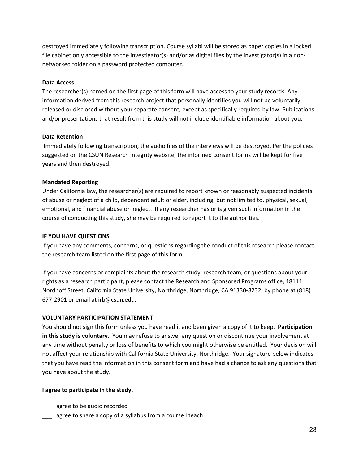destroyed immediately following transcription. Course syllabi will be stored as paper copies in a locked file cabinet only accessible to the investigator(s) and/or as digital files by the investigator(s) in a nonnetworked folder on a password protected computer.

#### **Data Access**

The researcher(s) named on the first page of this form will have access to your study records. Any information derived from this research project that personally identifies you will not be voluntarily released or disclosed without your separate consent, except as specifically required by law. Publications and/or presentations that result from this study will not include identifiable information about you.

### **Data Retention**

Immediately following transcription, the audio files of the interviews will be destroyed. Per the policies suggested on the CSUN Research Integrity website, the informed consent forms will be kept for five years and then destroyed.

### **Mandated Reporting**

Under California law, the researcher(s) are required to report known or reasonably suspected incidents of abuse or neglect of a child, dependent adult or elder, including, but not limited to, physical, sexual, emotional, and financial abuse or neglect. If any researcher has or is given such information in the course of conducting this study, she may be required to report it to the authorities.

### **IF YOU HAVE QUESTIONS**

If you have any comments, concerns, or questions regarding the conduct of this research please contact the research team listed on the first page of this form.

If you have concerns or complaints about the research study, research team, or questions about your rights as a research participant, please contact the Research and Sponsored Programs office, 18111 Nordhoff Street, California State University, Northridge, Northridge, CA 91330-8232, by phone at (818) 677-2901 or email at irb@csun.edu.

#### **VOLUNTARY PARTICIPATION STATEMENT**

You should not sign this form unless you have read it and been given a copy of it to keep. **Participation in this study is voluntary.** You may refuse to answer any question or discontinue your involvement at any time without penalty or loss of benefits to which you might otherwise be entitled. Your decision will not affect your relationship with California State University, Northridge. Your signature below indicates that you have read the information in this consent form and have had a chance to ask any questions that you have about the study.

### **I agree to participate in the study.**

- \_\_\_ I agree to be audio recorded
- \_\_\_ I agree to share a copy of a syllabus from a course I teach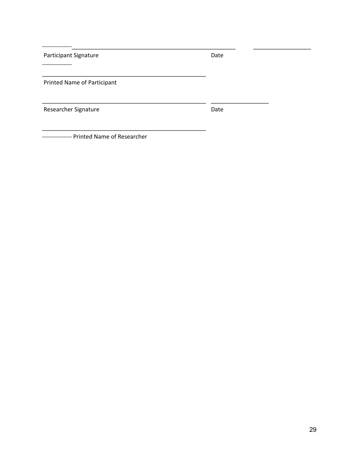| <b>Participant Signature</b> | Date |  |
|------------------------------|------|--|
|                              |      |  |
| Printed Name of Participant  |      |  |
| Researcher Signature         | Date |  |
|                              |      |  |

-------------- Printed Name of Researcher

 $\overline{\phantom{0}}$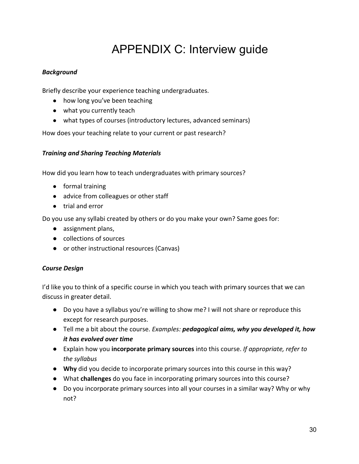# APPENDIX C: Interview guide

### *Background*

Briefly describe your experience teaching undergraduates.

- how long you've been teaching
- what you currently teach
- what types of courses (introductory lectures, advanced seminars)

How does your teaching relate to your current or past research?

### *Training and Sharing Teaching Materials*

How did you learn how to teach undergraduates with primary sources?

- formal training
- advice from colleagues or other staff
- trial and error

Do you use any syllabi created by others or do you make your own? Same goes for:

- assignment plans,
- collections of sources
- or other instructional resources (Canvas)

### *Course Design*

I'd like you to think of a specific course in which you teach with primary sources that we can discuss in greater detail.

- Do you have a syllabus you're willing to show me? I will not share or reproduce this except for research purposes.
- Tell me a bit about the course. *Examples: pedagogical aims, why you developed it, how it has evolved over time*
- Explain how you **incorporate primary sources** into this course. *If appropriate, refer to the syllabus*
- **Why** did you decide to incorporate primary sources into this course in this way?
- What **challenges** do you face in incorporating primary sources into this course?
- Do you incorporate primary sources into all your courses in a similar way? Why or why not?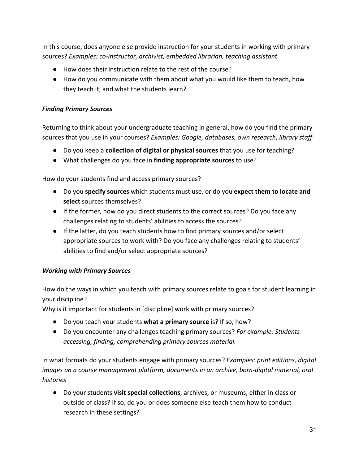In this course, does anyone else provide instruction for your students in working with primary sources? *Examples: co-instructor, archivist, embedded librarian, teaching assistant*

- How does their instruction relate to the rest of the course?
- How do you communicate with them about what you would like them to teach, how they teach it, and what the students learn?

### *Finding Primary Sources*

Returning to think about your undergraduate teaching in general, how do you find the primary sources that you use in your courses? *Examples: Google, databases, own research, library staff*

- Do you keep a **collection of digital or physical sources** that you use for teaching?
- What challenges do you face in **finding appropriate sources** to use?

How do your students find and access primary sources?

- Do you **specify sources** which students must use, or do you **expect them to locate and select** sources themselves?
- If the former, how do you direct students to the correct sources? Do you face any challenges relating to students' abilities to access the sources?
- If the latter, do you teach students how to find primary sources and/or select appropriate sources to work with? Do you face any challenges relating to students' abilities to find and/or select appropriate sources?

### *Working with Primary Sources*

How do the ways in which you teach with primary sources relate to goals for student learning in your discipline?

Why is it important for students in [discipline] work with primary sources?

- Do you teach your students **what a primary source** is? If so, how?
- Do you encounter any challenges teaching primary sources? *For example: Students accessing, finding, comprehending primary sources material.*

In what formats do your students engage with primary sources? *Examples: print editions, digital images on a course management platform, documents in an archive, born-digital material, oral histories*

● Do your students **visit special collections**, archives, or museums, either in class or outside of class? If so, do you or does someone else teach them how to conduct research in these settings?